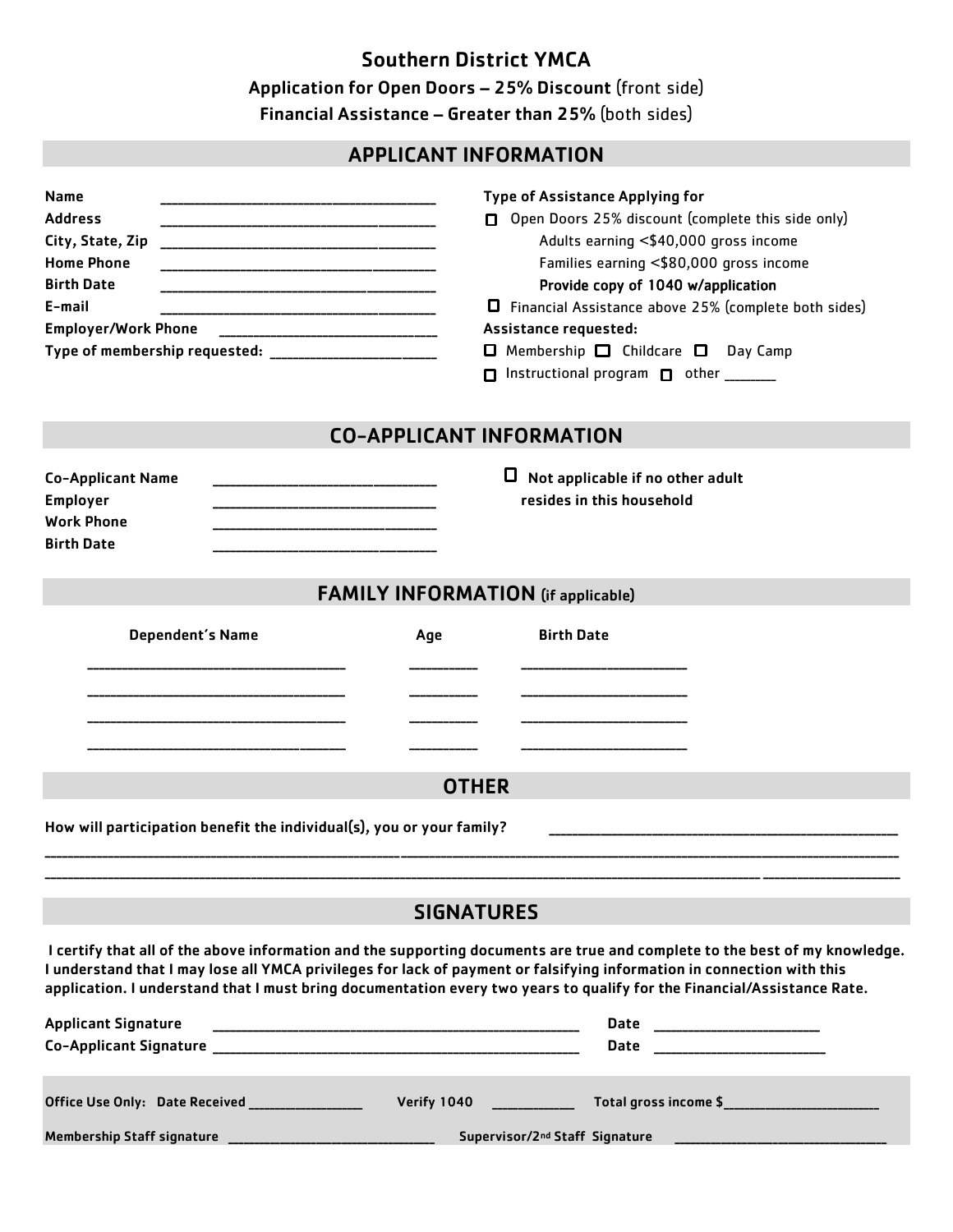## Southern District YMCA

#### Application for Open Doors – 25% Discount (front side)

Financial Assistance – Greater than 25% (both sides)

## APPLICANT INFORMATION

| <b>Name</b><br><b>Address</b><br>City, State, Zip<br><b>Home Phone</b><br><b>Birth Date</b><br>E-mail<br><b>Employer/Work Phone</b>                                                                                                                                                                                                                                              |        | <b>Type of Assistance Applying for</b><br>□ Open Doors 25% discount (complete this side only)<br>Adults earning <\$40,000 gross income<br>Families earning <\$80,000 gross income<br>Provide copy of 1040 w/application<br>$\Box$ Financial Assistance above 25% (complete both sides)<br>Assistance requested:<br>$\Box$ Membership $\Box$ Childcare $\Box$ Day Camp<br>□ Instructional program □ other _______ |  |  |  |  |
|----------------------------------------------------------------------------------------------------------------------------------------------------------------------------------------------------------------------------------------------------------------------------------------------------------------------------------------------------------------------------------|--------|------------------------------------------------------------------------------------------------------------------------------------------------------------------------------------------------------------------------------------------------------------------------------------------------------------------------------------------------------------------------------------------------------------------|--|--|--|--|
| <b>CO-APPLICANT INFORMATION</b>                                                                                                                                                                                                                                                                                                                                                  |        |                                                                                                                                                                                                                                                                                                                                                                                                                  |  |  |  |  |
| <b>Co-Applicant Name</b><br><b>Employer</b><br><b>Work Phone</b><br><b>Birth Date</b>                                                                                                                                                                                                                                                                                            | $\Box$ | Not applicable if no other adult<br>resides in this household                                                                                                                                                                                                                                                                                                                                                    |  |  |  |  |
| <b>FAMILY INFORMATION</b> (if applicable)                                                                                                                                                                                                                                                                                                                                        |        |                                                                                                                                                                                                                                                                                                                                                                                                                  |  |  |  |  |
| <b>Dependent's Name</b>                                                                                                                                                                                                                                                                                                                                                          | Age    | <b>Birth Date</b>                                                                                                                                                                                                                                                                                                                                                                                                |  |  |  |  |
| <b>OTHER</b>                                                                                                                                                                                                                                                                                                                                                                     |        |                                                                                                                                                                                                                                                                                                                                                                                                                  |  |  |  |  |
| How will participation benefit the individual(s), you or your family?                                                                                                                                                                                                                                                                                                            |        |                                                                                                                                                                                                                                                                                                                                                                                                                  |  |  |  |  |
| <b>SIGNATURES</b>                                                                                                                                                                                                                                                                                                                                                                |        |                                                                                                                                                                                                                                                                                                                                                                                                                  |  |  |  |  |
| I certify that all of the above information and the supporting documents are true and complete to the best of my knowledge.<br>I understand that I may lose all YMCA privileges for lack of payment or falsifying information in connection with this<br>application. I understand that I must bring documentation every two years to qualify for the Financial/Assistance Rate. |        |                                                                                                                                                                                                                                                                                                                                                                                                                  |  |  |  |  |
| <b>Applicant Signature</b>                                                                                                                                                                                                                                                                                                                                                       |        | Date                                                                                                                                                                                                                                                                                                                                                                                                             |  |  |  |  |

| Office Use Only: Date Received    | Verify 1040                                | Total gross income \$ |  |
|-----------------------------------|--------------------------------------------|-----------------------|--|
|                                   |                                            |                       |  |
| <b>Membership Staff signature</b> | Supervisor/2 <sup>nd</sup> Staff Signature |                       |  |
|                                   |                                            |                       |  |

 $\sf{Co}\textrm{-}{\sf{Application}}$   $\sf{Sigma}$   $\sf{source}$   $\sf{source}$   $\sf{source}$   $\sf{source}$   $\sf{source}$   $\sf{source}$   $\sf{source}$   $\sf{source}$   $\sf{source}$   $\sf{source}$   $\sf{source}$   $\sf{error}$   $\sf{error}$   $\sf{error}$   $\sf{error}$   $\sf{error}$   $\sf{error}$   $\sf{error}$   $\sf{error}$   $\sf{error}$   $\sf{error}$   $\sf{error}$   $\sf{error}$   $\sf{error}$   $\sf{$